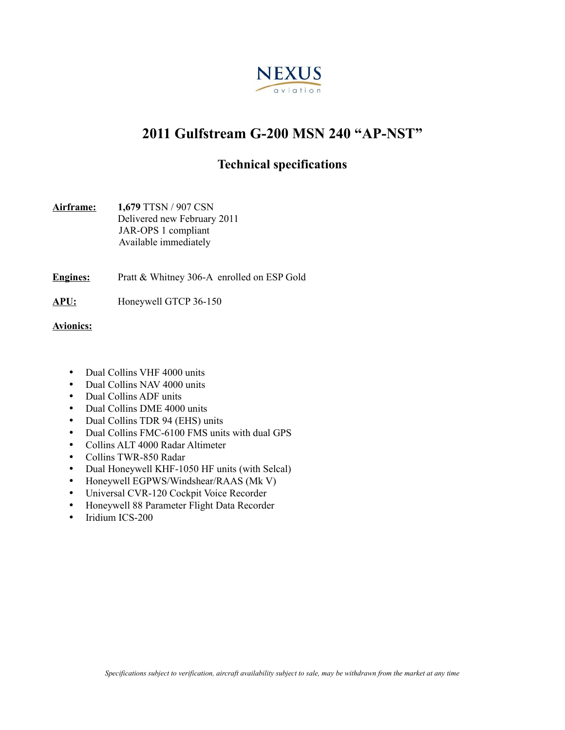

# **2011 Gulfstream G-200 MSN 240 "AP-NST"**

## **Technical specifications**

| Airframe: | 1,679 TTSN / 907 CSN        |
|-----------|-----------------------------|
|           | Delivered new February 2011 |
|           | JAR-OPS 1 compliant         |
|           | Available immediately       |

**Engines:** Pratt & Whitney 306-A enrolled on ESP Gold

**APU:** Honeywell GTCP 36-150

**Avionics:**

- Dual Collins VHF 4000 units
- Dual Collins NAV 4000 units
- Dual Collins ADF units
- Dual Collins DME 4000 units
- Dual Collins TDR 94 (EHS) units
- Dual Collins FMC-6100 FMS units with dual GPS
- Collins ALT 4000 Radar Altimeter
- Collins TWR-850 Radar
- Dual Honeywell KHF-1050 HF units (with Selcal)
- Honeywell EGPWS/Windshear/RAAS (Mk V)
- Universal CVR-120 Cockpit Voice Recorder
- Honeywell 88 Parameter Flight Data Recorder<br>• Iridium ICS-200
- Iridium ICS-200